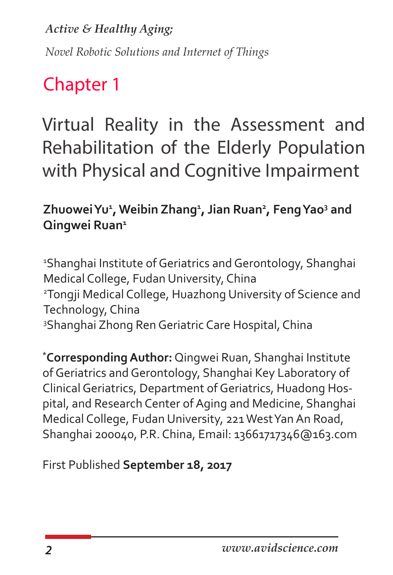*Active & Healthy Aging; Novel Robotic Solutions and Internet of Things*

# Chapter 1

Virtual Reality in the Assessment and Rehabilitation of the Elderly Population with Physical and Cognitive Impairment

## Zhuowei Yu<sup>1</sup>, Weibin Zhang<sup>1</sup>, Jian Ruan<sup>2</sup>, Feng Yao<sup>3</sup> and **Qingwei Ruan1**

1 Shanghai Institute of Geriatrics and Gerontology, Shanghai Medical College, Fudan University, China 2 Tongji Medical College, Huazhong University of Science and Technology, China 3 Shanghai Zhong Ren Geriatric Care Hospital, China

**\* Corresponding Author:** Qingwei Ruan, Shanghai Institute of Geriatrics and Gerontology, Shanghai Key Laboratory of Clinical Geriatrics, Department of Geriatrics, Huadong Hospital, and Research Center of Aging and Medicine, Shanghai Medical College, Fudan University, 221 West Yan An Road, Shanghai 200040, P.R. China, Email: 13661717346@163.com

First Published **September 18, 2017**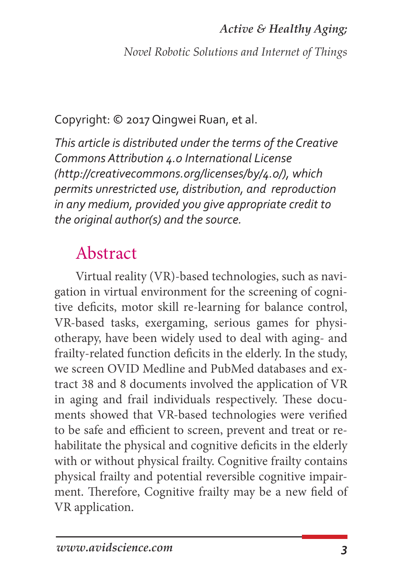Copyright: © 2017 Qingwei Ruan, et al.

*This article is distributed under the terms of the Creative Commons Attribution 4.0 International License (http://creativecommons.org/licenses/by/4.0/), which permits unrestricted use, distribution, and reproduction in any medium, provided you give appropriate credit to the original author(s) and the source.*

# Abstract

Virtual reality (VR)-based technologies, such as navigation in virtual environment for the screening of cognitive deficits, motor skill re-learning for balance control, VR-based tasks, exergaming, serious games for physiotherapy, have been widely used to deal with aging- and frailty-related function deficits in the elderly. In the study, we screen OVID Medline and PubMed databases and extract 38 and 8 documents involved the application of VR in aging and frail individuals respectively. These documents showed that VR-based technologies were verified to be safe and efficient to screen, prevent and treat or rehabilitate the physical and cognitive deficits in the elderly with or without physical frailty. Cognitive frailty contains physical frailty and potential reversible cognitive impairment. Therefore, Cognitive frailty may be a new field of VR application.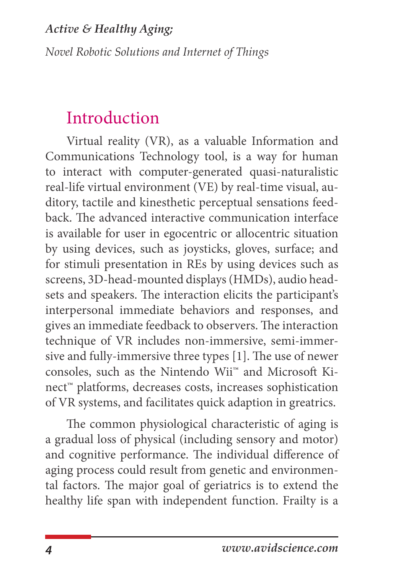*Novel Robotic Solutions and Internet of Things*

## Introduction

Virtual reality (VR), as a valuable Information and Communications Technology tool, is a way for human to interact with computer-generated quasi-naturalistic real-life virtual environment (VE) by real-time visual, auditory, tactile and kinesthetic perceptual sensations feedback. The advanced interactive communication interface is available for user in egocentric or allocentric situation by using devices, such as joysticks, gloves, surface; and for stimuli presentation in REs by using devices such as screens, 3D-head-mounted displays (HMDs), audio headsets and speakers. The interaction elicits the participant's interpersonal immediate behaviors and responses, and gives an immediate feedback to observers. The interaction technique of VR includes non-immersive, semi-immersive and fully-immersive three types [1]. The use of newer consoles, such as the Nintendo Wii™ and Microsoft Kinect™ platforms, decreases costs, increases sophistication of VR systems, and facilitates quick adaption in greatrics.

The common physiological characteristic of aging is a gradual loss of physical (including sensory and motor) and cognitive performance. The individual difference of aging process could result from genetic and environmental factors. The major goal of geriatrics is to extend the healthy life span with independent function. Frailty is a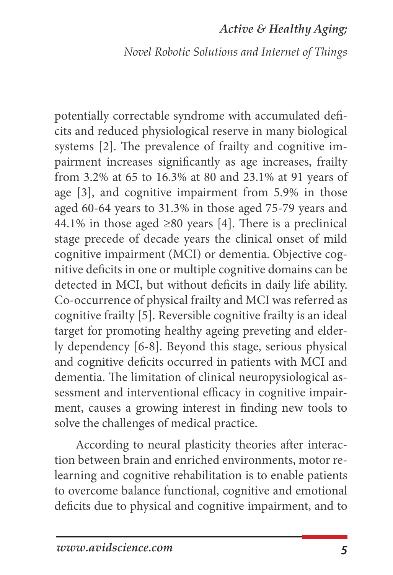potentially correctable syndrome with accumulated deficits and reduced physiological reserve in many biological systems [2]. The prevalence of frailty and cognitive impairment increases significantly as age increases, frailty from 3.2% at 65 to 16.3% at 80 and 23.1% at 91 years of age [3], and cognitive impairment from 5.9% in those aged 60-64 years to 31.3% in those aged 75-79 years and 44.1% in those aged  $\geq 80$  years [4]. There is a preclinical stage precede of decade years the clinical onset of mild cognitive impairment (MCI) or dementia. Objective cognitive deficits in one or multiple cognitive domains can be detected in MCI, but without deficits in daily life ability. Co-occurrence of physical frailty and MCI was referred as cognitive frailty [5]. Reversible cognitive frailty is an ideal target for promoting healthy ageing preveting and elderly dependency [6-8]. Beyond this stage, serious physical and cognitive deficits occurred in patients with MCI and dementia. The limitation of clinical neuropysiological assessment and interventional efficacy in cognitive impairment, causes a growing interest in finding new tools to solve the challenges of medical practice.

According to neural plasticity theories after interaction between brain and enriched environments, motor relearning and cognitive rehabilitation is to enable patients to overcome balance functional, cognitive and emotional deficits due to physical and cognitive impairment, and to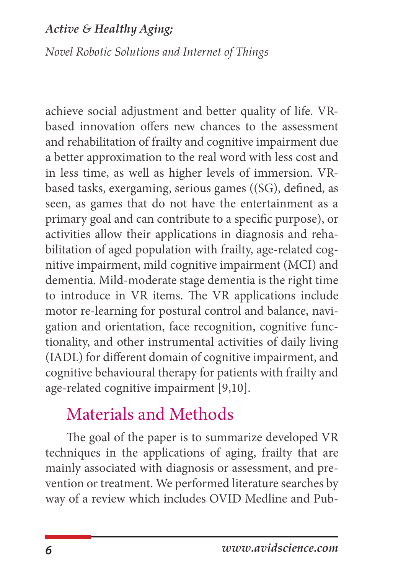*Novel Robotic Solutions and Internet of Things*

achieve social adjustment and better quality of life. VRbased innovation offers new chances to the assessment and rehabilitation of frailty and cognitive impairment due a better approximation to the real word with less cost and in less time, as well as higher levels of immersion. VRbased tasks, exergaming, serious games ((SG), defined, as seen, as games that do not have the entertainment as a primary goal and can contribute to a specific purpose), or activities allow their applications in diagnosis and rehabilitation of aged population with frailty, age-related cognitive impairment, mild cognitive impairment (MCI) and dementia. Mild-moderate stage dementia is the right time to introduce in VR items. The VR applications include motor re-learning for postural control and balance, navigation and orientation, face recognition, cognitive functionality, and other instrumental activities of daily living (IADL) for different domain of cognitive impairment, and cognitive behavioural therapy for patients with frailty and age-related cognitive impairment [9,10].

# Materials and Methods

The goal of the paper is to summarize developed VR techniques in the applications of aging, frailty that are mainly associated with diagnosis or assessment, and prevention or treatment. We performed literature searches by way of a review which includes OVID Medline and Pub-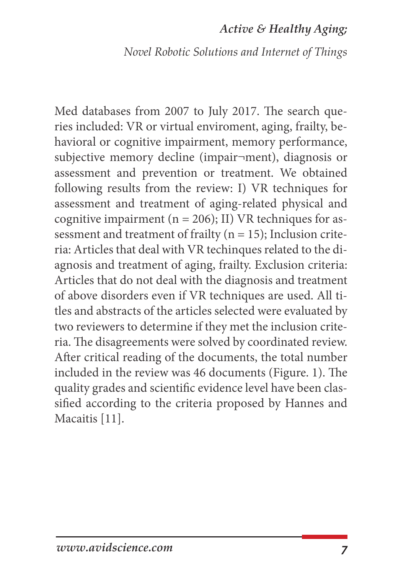Med databases from 2007 to July 2017. The search queries included: VR or virtual enviroment, aging, frailty, behavioral or cognitive impairment, memory performance, subjective memory decline (impair¬ment), diagnosis or assessment and prevention or treatment. We obtained following results from the review: I) VR techniques for assessment and treatment of aging-related physical and cognitive impairment ( $n = 206$ ); II) VR techniques for assessment and treatment of frailty ( $n = 15$ ); Inclusion criteria: Articles that deal with VR techinques related to the diagnosis and treatment of aging, frailty. Exclusion criteria: Articles that do not deal with the diagnosis and treatment of above disorders even if VR techniques are used. All titles and abstracts of the articles selected were evaluated by two reviewers to determine if they met the inclusion criteria. The disagreements were solved by coordinated review. After critical reading of the documents, the total number included in the review was 46 documents (Figure. 1). The quality grades and scientific evidence level have been classified according to the criteria proposed by Hannes and Macaitis [11].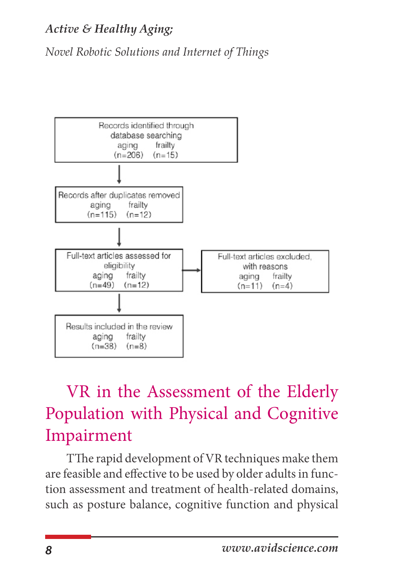*Novel Robotic Solutions and Internet of Things*



# VR in the Assessment of the Elderly Population with Physical and Cognitive Impairment

TThe rapid development of VR techniques make them are feasible and effective to be used by older adults in function assessment and treatment of health-related domains, such as posture balance, cognitive function and physical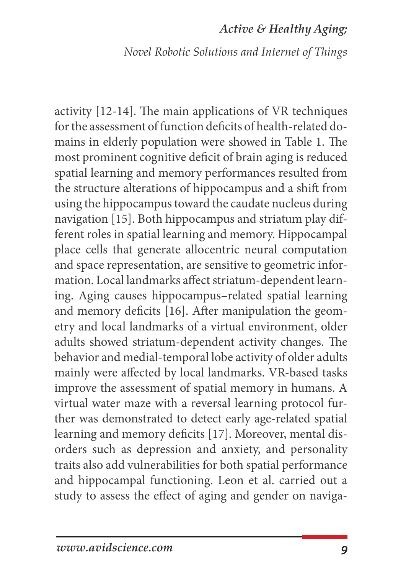activity [12-14]. The main applications of VR techniques for the assessment of function deficits of health-related domains in elderly population were showed in Table 1. The most prominent cognitive deficit of brain aging is reduced spatial learning and memory performances resulted from the structure alterations of hippocampus and a shift from using the hippocampus toward the caudate nucleus during navigation [15]. Both hippocampus and striatum play different roles in spatial learning and memory. Hippocampal place cells that generate allocentric neural computation and space representation, are sensitive to geometric information. Local landmarks affect striatum-dependent learning. Aging causes hippocampus–related spatial learning and memory deficits [16]. After manipulation the geometry and local landmarks of a virtual environment, older adults showed striatum-dependent activity changes. The behavior and medial-temporal lobe activity of older adults mainly were affected by local landmarks. VR-based tasks improve the assessment of spatial memory in humans. A virtual water maze with a reversal learning protocol further was demonstrated to detect early age-related spatial learning and memory deficits [17]. Moreover, mental disorders such as depression and anxiety, and personality traits also add vulnerabilities for both spatial performance and hippocampal functioning. Leon et al. carried out a study to assess the effect of aging and gender on naviga-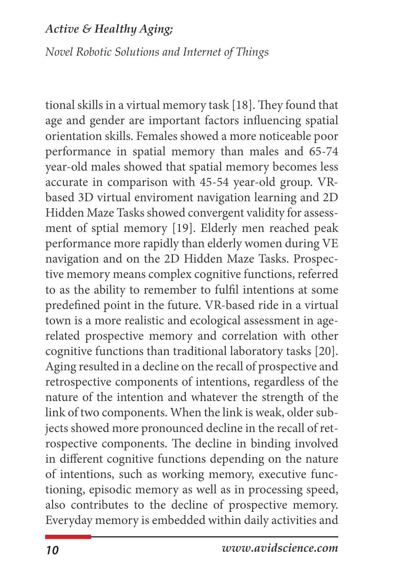*Novel Robotic Solutions and Internet of Things*

tional skills in a virtual memory task [18]. They found that age and gender are important factors influencing spatial orientation skills. Females showed a more noticeable poor performance in spatial memory than males and 65-74 year-old males showed that spatial memory becomes less accurate in comparison with 45-54 year-old group. VRbased 3D virtual enviroment navigation learning and 2D Hidden Maze Tasks showed convergent validity for assessment of sptial memory [19]. Elderly men reached peak performance more rapidly than elderly women during VE navigation and on the 2D Hidden Maze Tasks. Prospective memory means complex cognitive functions, referred to as the ability to remember to fulfil intentions at some predefined point in the future. VR-based ride in a virtual town is a more realistic and ecological assessment in agerelated prospective memory and correlation with other cognitive functions than traditional laboratory tasks [20]. Aging resulted in a decline on the recall of prospective and retrospective components of intentions, regardless of the nature of the intention and whatever the strength of the link of two components. When the link is weak, older subjects showed more pronounced decline in the recall of retrospective components. The decline in binding involved in different cognitive functions depending on the nature of intentions, such as working memory, executive functioning, episodic memory as well as in processing speed, also contributes to the decline of prospective memory. Everyday memory is embedded within daily activities and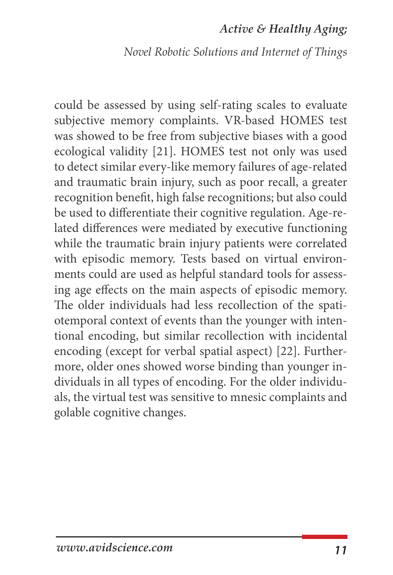*Novel Robotic Solutions and Internet of Things*

could be assessed by using self-rating scales to evaluate subjective memory complaints. VR-based HOMES test was showed to be free from subjective biases with a good ecological validity [21]. HOMES test not only was used to detect similar every-like memory failures of age-related and traumatic brain injury, such as poor recall, a greater recognition benefit, high false recognitions; but also could be used to differentiate their cognitive regulation. Age-related differences were mediated by executive functioning while the traumatic brain injury patients were correlated with episodic memory. Tests based on virtual environments could are used as helpful standard tools for assessing age effects on the main aspects of episodic memory. The older individuals had less recollection of the spatiotemporal context of events than the younger with intentional encoding, but similar recollection with incidental encoding (except for verbal spatial aspect) [22]. Furthermore, older ones showed worse binding than younger individuals in all types of encoding. For the older individuals, the virtual test was sensitive to mnesic complaints and golable cognitive changes.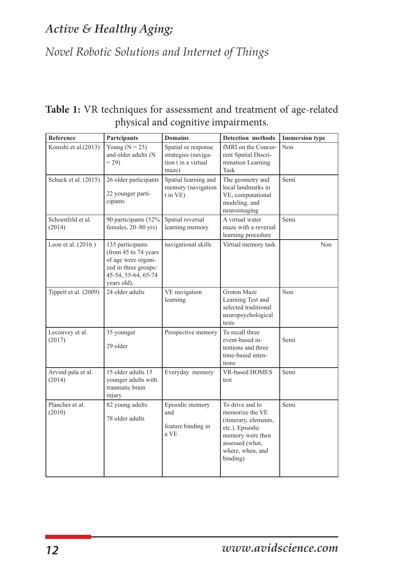### *Novel Robotic Solutions and Internet of Things*

#### **Table 1:** VR techniques for assessment and treatment of age-related physical and cognitive impairments.

| Reference                    | Partcipants                                                                                                                    | <b>Domains</b>                                                             | <b>Detection methods</b>                                                                                                                              | <b>Immersion</b> type |
|------------------------------|--------------------------------------------------------------------------------------------------------------------------------|----------------------------------------------------------------------------|-------------------------------------------------------------------------------------------------------------------------------------------------------|-----------------------|
| Konishi et al.(2013)         | Young ( $N = 23$ )<br>and older adults (N<br>$= 29$                                                                            | Spatial or response<br>strategies (naviga-<br>tion t in a virtual<br>maze) | fMRI on the Concur-<br>rent Spatial Discri-<br>mination Learning<br>Task                                                                              | Non                   |
| Schuck et al. (2015)         | 26 older participants<br>22 younger parti-<br>cipants                                                                          | Spatial learning and<br>memory (navigation<br>t in VE)                     | The geometry and<br>local landmarks in<br>VE, computational<br>modeling, and<br>neuroimaging                                                          | Semi                  |
| Schoenfeld et al.<br>(2014)  | 90 participants (52%<br>females, 20-80 yrs)                                                                                    | Spatial reversal<br>learning memory                                        | A virtual water<br>maze with a reversal<br>learning procedure                                                                                         | Semi                  |
| Leon et al. $(2016)$         | 135 participants<br>(from 45 to 74 years)<br>of age were organi-<br>zed in three groups:<br>45-54, 55-64, 65-74<br>years old). | navigational skills                                                        | Virtual memory task                                                                                                                                   | Non                   |
| Tippett et al. (2009)        | 24 older adults                                                                                                                | VE navigation<br>learning                                                  | Groton Maze<br>Learning Test and<br>selected traditional<br>neuropsychological<br>tests                                                               | Non                   |
| Lecouvey et al.<br>(2017)    | 35 younger<br>29 older                                                                                                         | Prospective memory                                                         | To recall three<br>event-based in-<br>tentions and three<br>time-based inten-<br>tions                                                                | Semi                  |
| Arvind pala et al.<br>(2014) | 15 older adults 15<br>younger adults with<br>traumatic brain<br>injury                                                         | Everyday memory                                                            | VR-based HOMES<br>test                                                                                                                                | Semi                  |
| Plancher et al.<br>(2010)    | 82 young adults<br>78 older adults                                                                                             | Episodic memory<br>and<br>feature binding in<br>a VE                       | To drive and to<br>memorize the VE<br>(itinerary, elements,<br>etc.). Episodic<br>memory were then<br>assessed (what,<br>where, when, and<br>binding) | Semi                  |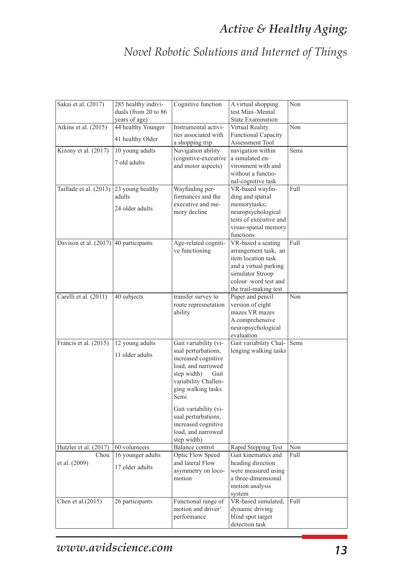| Sakai et al. (2017)                       | 285 healthy indivi-  | Cognitive function    | A virtual shopping         | Non  |
|-------------------------------------------|----------------------|-----------------------|----------------------------|------|
|                                           | duals (from 20 to 86 |                       | test Mini-Mental           |      |
|                                           | years of age)        |                       | <b>State Examination</b>   |      |
| Atkins et al. (2015)                      | 44 healthy Younger   | Instrumental activi-  | Virtual Reality            | Non  |
|                                           |                      | ties associated with  | <b>Functional Capacity</b> |      |
|                                           | 41 healthy Older     | a shopping trip       | Assessment Tool            |      |
| Kizony et al. (2017)                      | 10 young adults      | Navigation ability    | navigation within          | Semi |
|                                           |                      | (cognitive-executive  | a simulated en-            |      |
|                                           | 7 old adults         | and motor aspects)    | vironment with and         |      |
|                                           |                      |                       | without a functio-         |      |
|                                           |                      |                       | nal-cognitive task         |      |
| Taillade et al. $(2013)$ 23 young healthy |                      | Wayfinding per-       | VR-based wayfin-           | Full |
|                                           | adults               | formances and the     | ding and spatial           |      |
|                                           |                      | executive and me-     | memorytasks;               |      |
|                                           | 24 older adults      | mory decline          | neuropsychological         |      |
|                                           |                      |                       | tests of executive and     |      |
|                                           |                      |                       | visuo-spatial memory       |      |
|                                           |                      |                       | functions                  |      |
|                                           |                      |                       |                            | Full |
| Davison et al. $(2017)$ 40 participants   |                      | Age-related cogniti-  | VR-based a seating         |      |
|                                           |                      | ve functioning        | arrangement task, an       |      |
|                                           |                      |                       | item location task         |      |
|                                           |                      |                       | and a virtual parking      |      |
|                                           |                      |                       | simulator Stroop           |      |
|                                           |                      |                       | colour-word test and       |      |
|                                           |                      |                       | the trail-making test      |      |
| Carelli et al. (2011)                     | 40 subjects          | transfer survey to    | Paper and pencil           | Non  |
|                                           |                      | route represnetation  | version of eight           |      |
|                                           |                      | ability               | mazes VR mazes             |      |
|                                           |                      |                       | A comprehensive            |      |
|                                           |                      |                       | neuropsychological         |      |
|                                           |                      |                       | evaluation                 |      |
| Francis et al. (2015)                     | 12 young adults      | Gait variability (vi- | Gait variability Chal-     | Semi |
|                                           |                      | sual perturbations,   | lenging walking tasks      |      |
|                                           | 11 older adults      | increased cognitive   |                            |      |
|                                           |                      | load, and narrowed    |                            |      |
|                                           |                      | step width)<br>Gait   |                            |      |
|                                           |                      | variability Challen-  |                            |      |
|                                           |                      | ging walking tasks    |                            |      |
|                                           |                      | Semi                  |                            |      |
|                                           |                      |                       |                            |      |
|                                           |                      | Gait variability (vi- |                            |      |
|                                           |                      | sual perturbations,   |                            |      |
|                                           |                      | increased cognitive   |                            |      |
|                                           |                      | load, and narrowed    |                            |      |
|                                           |                      | step width)           |                            |      |
| Hutzler et al. (2017)                     | 60 volunteers        | Balance control       | Rapid Stepping Test        | Non  |
| Chou                                      | 16 younger adults    | Optic Flow Speed      | Gait kinematics and        | Full |
| et al. (2009)                             |                      | and lateral Flow      | heading direction          |      |
|                                           | 17 older adults      | asymmetry on loco-    | were measured using        |      |
|                                           |                      | motion                | a three-dimensional        |      |
|                                           |                      |                       | motion analysis            |      |
|                                           |                      |                       | system                     |      |
| Chen et al. $(2015)$                      | 26 participants      | Functional range of   | VR-based simulated,        | Full |
|                                           |                      | motion and driver'    | dynamic driving            |      |
|                                           |                      | performance           | blind spot target          |      |
|                                           |                      |                       |                            |      |
|                                           |                      |                       | detection task             |      |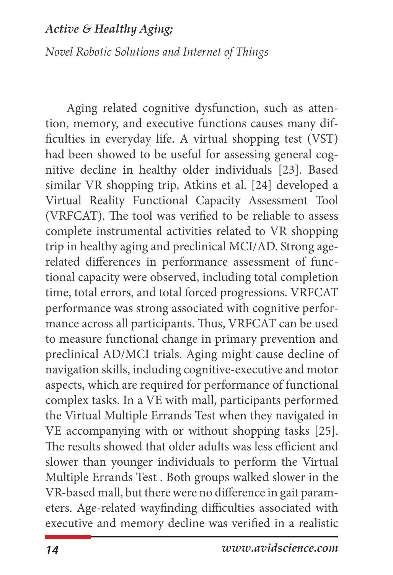*Novel Robotic Solutions and Internet of Things*

Aging related cognitive dysfunction, such as attention, memory, and executive functions causes many difficulties in everyday life. A virtual shopping test (VST) had been showed to be useful for assessing general cognitive decline in healthy older individuals [23]. Based similar VR shopping trip, Atkins et al. [24] developed a Virtual Reality Functional Capacity Assessment Tool (VRFCAT). The tool was verified to be reliable to assess complete instrumental activities related to VR shopping trip in healthy aging and preclinical MCI/AD. Strong agerelated differences in performance assessment of functional capacity were observed, including total completion time, total errors, and total forced progressions. VRFCAT performance was strong associated with cognitive performance across all participants. Thus, VRFCAT can be used to measure functional change in primary prevention and preclinical AD/MCI trials. Aging might cause decline of navigation skills, including cognitive-executive and motor aspects, which are required for performance of functional complex tasks. In a VE with mall, participants performed the Virtual Multiple Errands Test when they navigated in VE accompanying with or without shopping tasks [25]. The results showed that older adults was less efficient and slower than younger individuals to perform the Virtual Multiple Errands Test . Both groups walked slower in the VR-based mall, but there were no difference in gait parameters. Age-related wayfinding difficulties associated with executive and memory decline was verified in a realistic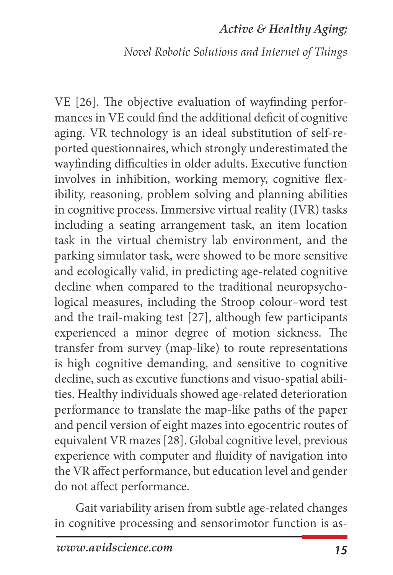VE [26]. The objective evaluation of wayfinding performances in VE could find the additional deficit of cognitive aging. VR technology is an ideal substitution of self-reported questionnaires, which strongly underestimated the wayfinding difficulties in older adults. Executive function involves in inhibition, working memory, cognitive flexibility, reasoning, problem solving and planning abilities in cognitive process. Immersive virtual reality (IVR) tasks including a seating arrangement task, an item location task in the virtual chemistry lab environment, and the parking simulator task, were showed to be more sensitive and ecologically valid, in predicting age-related cognitive decline when compared to the traditional neuropsychological measures, including the Stroop colour–word test and the trail-making test [27], although few participants experienced a minor degree of motion sickness. The transfer from survey (map-like) to route representations is high cognitive demanding, and sensitive to cognitive decline, such as excutive functions and visuo-spatial abilities. Healthy individuals showed age-related deterioration performance to translate the map-like paths of the paper and pencil version of eight mazes into egocentric routes of equivalent VR mazes [28]. Global cognitive level, previous experience with computer and fluidity of navigation into the VR affect performance, but education level and gender do not affect performance.

Gait variability arisen from subtle age-related changes in cognitive processing and sensorimotor function is as-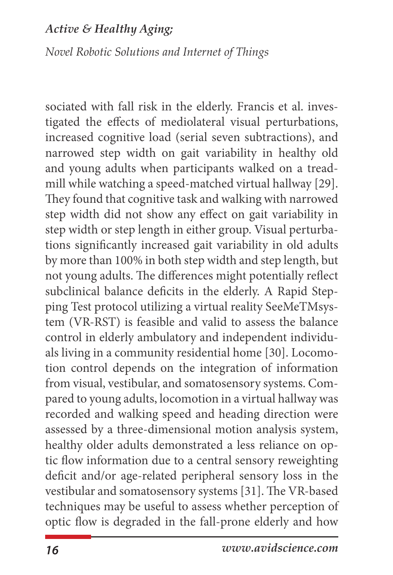*Novel Robotic Solutions and Internet of Things*

sociated with fall risk in the elderly. Francis et al. investigated the effects of mediolateral visual perturbations, increased cognitive load (serial seven subtractions), and narrowed step width on gait variability in healthy old and young adults when participants walked on a treadmill while watching a speed-matched virtual hallway [29]. They found that cognitive task and walking with narrowed step width did not show any effect on gait variability in step width or step length in either group. Visual perturbations significantly increased gait variability in old adults by more than 100% in both step width and step length, but not young adults. The differences might potentially reflect subclinical balance deficits in the elderly. A Rapid Stepping Test protocol utilizing a virtual reality SeeMeTMsystem (VR-RST) is feasible and valid to assess the balance control in elderly ambulatory and independent individuals living in a community residential home [30]. Locomotion control depends on the integration of information from visual, vestibular, and somatosensory systems. Compared to young adults, locomotion in a virtual hallway was recorded and walking speed and heading direction were assessed by a three-dimensional motion analysis system, healthy older adults demonstrated a less reliance on optic flow information due to a central sensory reweighting deficit and/or age-related peripheral sensory loss in the vestibular and somatosensory systems [31]. The VR-based techniques may be useful to assess whether perception of optic flow is degraded in the fall-prone elderly and how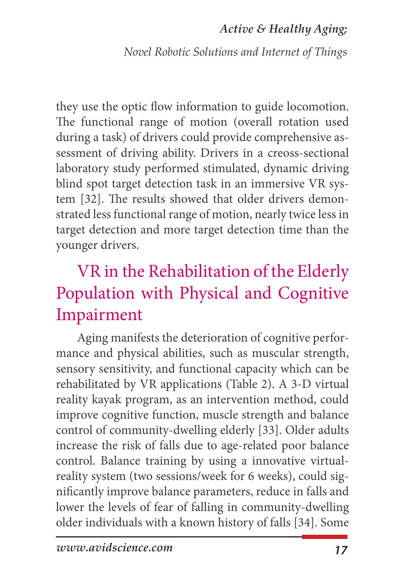they use the optic flow information to guide locomotion. The functional range of motion (overall rotation used during a task) of drivers could provide comprehensive assessment of driving ability. Drivers in a creoss-sectional laboratory study performed stimulated, dynamic driving blind spot target detection task in an immersive VR system [32]. The results showed that older drivers demonstrated less functional range of motion, nearly twice less in target detection and more target detection time than the younger drivers.

# VR in the Rehabilitation of the Elderly Population with Physical and Cognitive Impairment

Aging manifests the deterioration of cognitive performance and physical abilities, such as muscular strength, sensory sensitivity, and functional capacity which can be rehabilitated by VR applications (Table 2). A 3-D virtual reality kayak program, as an intervention method, could improve cognitive function, muscle strength and balance control of community-dwelling elderly [33]. Older adults increase the risk of falls due to age-related poor balance control. Balance training by using a innovative virtualreality system (two sessions/week for 6 weeks), could significantly improve balance parameters, reduce in falls and lower the levels of fear of falling in community-dwelling older individuals with a known history of falls [34]. Some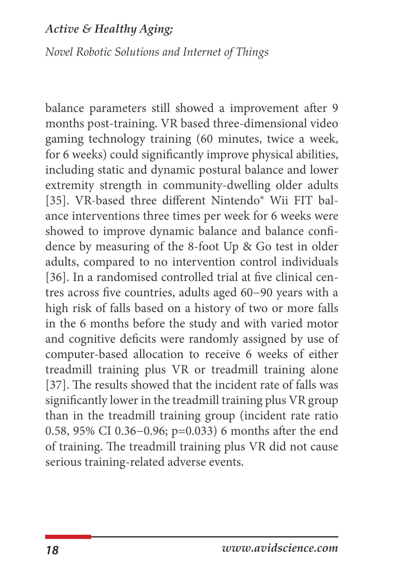*Novel Robotic Solutions and Internet of Things*

balance parameters still showed a improvement after 9 months post-training. VR based three-dimensional video gaming technology training (60 minutes, twice a week, for 6 weeks) could significantly improve physical abilities, including static and dynamic postural balance and lower extremity strength in community-dwelling older adults [35]. VR-based three different Nintendo® Wii FIT balance interventions three times per week for 6 weeks were showed to improve dynamic balance and balance confidence by measuring of the 8-foot Up & Go test in older adults, compared to no intervention control individuals [36]. In a randomised controlled trial at five clinical centres across five countries, adults aged 60−90 years with a high risk of falls based on a history of two or more falls in the 6 months before the study and with varied motor and cognitive deficits were randomly assigned by use of computer-based allocation to receive 6 weeks of either treadmill training plus VR or treadmill training alone [37]. The results showed that the incident rate of falls was significantly lower in the treadmill training plus VR group than in the treadmill training group (incident rate ratio 0.58, 95% CI 0.36−0.96; p=0.033) 6 months after the end of training. The treadmill training plus VR did not cause serious training-related adverse events.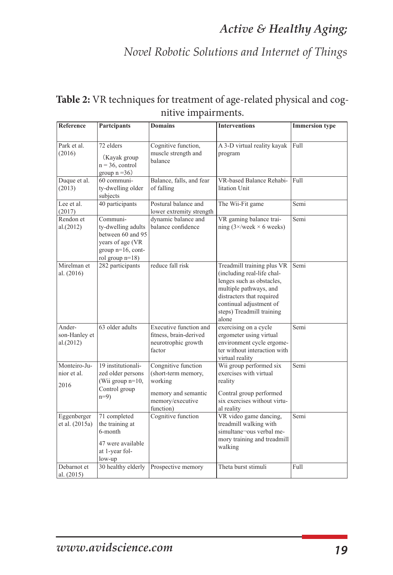### *Novel Robotic Solutions and Internet of Things*

| Reference                            | Partcipants                                                                                                           | <b>Domains</b><br><b>Interventions</b>                                                                        |                                                                                                                                                                                                               | <b>Immersion</b> type |
|--------------------------------------|-----------------------------------------------------------------------------------------------------------------------|---------------------------------------------------------------------------------------------------------------|---------------------------------------------------------------------------------------------------------------------------------------------------------------------------------------------------------------|-----------------------|
| Park et al.<br>(2016)                | 72 elders<br>(Kayak group)<br>$n = 36$ , control<br>group $n = 36$ )                                                  | Cognitive function,<br>muscle strength and<br>balance                                                         | A 3-D virtual reality kayak<br>program                                                                                                                                                                        | Full                  |
| Duque et al.<br>(2013)               | 60 communi-<br>ty-dwelling older<br>subjects                                                                          | Balance, falls, and fear<br>of falling                                                                        | VR-based Balance Rehabi-<br>litation Unit                                                                                                                                                                     | Full                  |
| Lee et al.<br>(2017)                 | 40 participants                                                                                                       | Postural balance and<br>lower extremity strength                                                              | The Wii-Fit game                                                                                                                                                                                              | Semi                  |
| Rendon et<br>al.(2012)               | Communi-<br>ty-dwelling adults<br>between 60 and 95<br>years of age (VR<br>group $n=16$ , cont-<br>rol group $n=18$ ) | dynamic balance and<br>balance confidence                                                                     | VR gaming balance trai-<br>ning $(3 \times$ /week $\times$ 6 weeks)                                                                                                                                           | Semi                  |
| Mirelman et<br>al. $(2016)$          | 282 participants                                                                                                      | reduce fall risk                                                                                              | Treadmill training plus VR<br>(including real-life chal-<br>lenges such as obstacles,<br>multiple pathways, and<br>distracters that required<br>continual adjustment of<br>steps) Treadmill training<br>alone | Semi                  |
| Ander-<br>son-Hanley et<br>al.(2012) | 63 older adults                                                                                                       | Executive function and<br>fitness, brain-derived<br>neurotrophic growth<br>factor                             | exercising on a cycle<br>ergometer using virtual<br>environment cycle ergome-<br>ter without interaction with<br>virtual reality                                                                              | Semi                  |
| Monteiro-Ju-<br>nior et al.<br>2016  | 19 institutionali-<br>zed older persons<br>(Wii group $n=10$ ,<br>Control group<br>$n=9$ )                            | Congnitive function<br>(short-term memory,<br>working<br>memory and semantic<br>memory/executive<br>function) | Wii group performed six<br>exercises with virtual<br>reality<br>Contral group performed<br>six exercises without virtu-<br>al reality                                                                         | Semi                  |
| Eggenberger<br>et al. (2015a)        | 71 completed<br>the training at<br>6-month<br>47 were available<br>at 1-year fol-<br>low-up                           | Cognitive function                                                                                            | VR video game dancing,<br>treadmill walking with<br>simultane-ous verbal me-<br>mory training and treadmill<br>walking                                                                                        | Semi                  |
| Debarnot et<br>al. (2015)            | 30 healthy elderly                                                                                                    | Prospective memory                                                                                            | Theta burst stimuli                                                                                                                                                                                           | Full                  |

#### **Table 2:** VR techniques for treatment of age-related physical and cognitive impairments.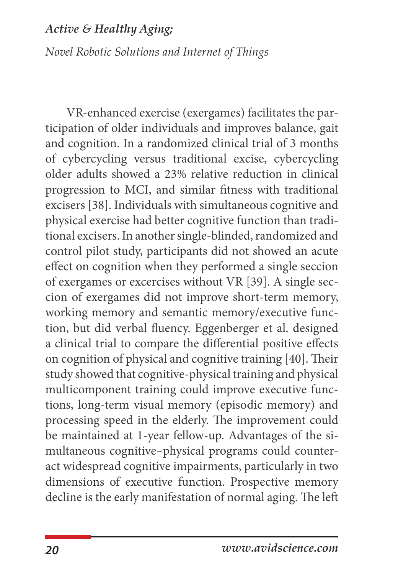*Novel Robotic Solutions and Internet of Things*

VR-enhanced exercise (exergames) facilitates the participation of older individuals and improves balance, gait and cognition. In a randomized clinical trial of 3 months of cybercycling versus traditional excise, cybercycling older adults showed a 23% relative reduction in clinical progression to MCI, and similar fitness with traditional excisers [38]. Individuals with simultaneous cognitive and physical exercise had better cognitive function than traditional excisers. In another single-blinded, randomized and control pilot study, participants did not showed an acute effect on cognition when they performed a single seccion of exergames or excercises without VR [39]. A single seccion of exergames did not improve short-term memory, working memory and semantic memory/executive function, but did verbal fluency. Eggenberger et al. designed a clinical trial to compare the differential positive effects on cognition of physical and cognitive training [40]. Their study showed that cognitive-physical training and physical multicomponent training could improve executive functions, long-term visual memory (episodic memory) and processing speed in the elderly. The improvement could be maintained at 1-year fellow-up. Advantages of the simultaneous cognitive–physical programs could counteract widespread cognitive impairments, particularly in two dimensions of executive function. Prospective memory decline is the early manifestation of normal aging. The left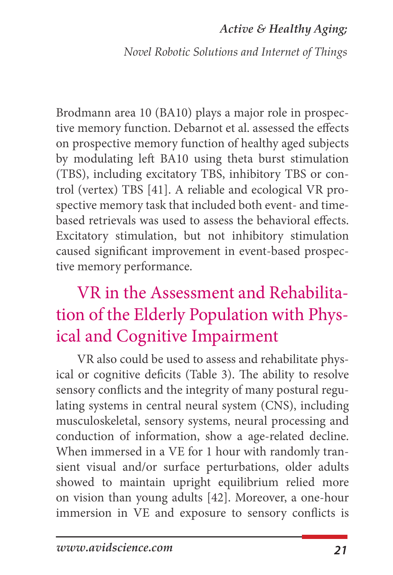Brodmann area 10 (BA10) plays a major role in prospective memory function. Debarnot et al. assessed the effects on prospective memory function of healthy aged subjects by modulating left BA10 using theta burst stimulation (TBS), including excitatory TBS, inhibitory TBS or control (vertex) TBS [41]. A reliable and ecological VR prospective memory task that included both event- and timebased retrievals was used to assess the behavioral effects. Excitatory stimulation, but not inhibitory stimulation caused significant improvement in event-based prospective memory performance.

# VR in the Assessment and Rehabilitation of the Elderly Population with Physical and Cognitive Impairment

VR also could be used to assess and rehabilitate physical or cognitive deficits (Table 3). The ability to resolve sensory conflicts and the integrity of many postural regulating systems in central neural system (CNS), including musculoskeletal, sensory systems, neural processing and conduction of information, show a age-related decline. When immersed in a VE for 1 hour with randomly transient visual and/or surface perturbations, older adults showed to maintain upright equilibrium relied more on vision than young adults [42]. Moreover, a one-hour immersion in VE and exposure to sensory conflicts is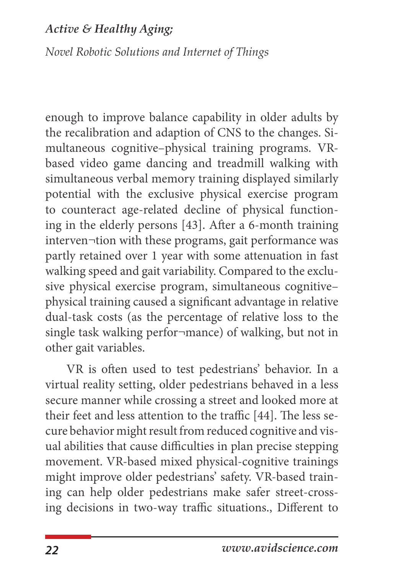*Novel Robotic Solutions and Internet of Things*

enough to improve balance capability in older adults by the recalibration and adaption of CNS to the changes. Simultaneous cognitive–physical training programs. VRbased video game dancing and treadmill walking with simultaneous verbal memory training displayed similarly potential with the exclusive physical exercise program to counteract age-related decline of physical functioning in the elderly persons [43]. After a 6-month training interven¬tion with these programs, gait performance was partly retained over 1 year with some attenuation in fast walking speed and gait variability. Compared to the exclusive physical exercise program, simultaneous cognitive– physical training caused a significant advantage in relative dual-task costs (as the percentage of relative loss to the single task walking perfor¬mance) of walking, but not in other gait variables.

VR is often used to test pedestrians' behavior. In a virtual reality setting, older pedestrians behaved in a less secure manner while crossing a street and looked more at their feet and less attention to the traffic [44]. The less secure behavior might result from reduced cognitive and visual abilities that cause difficulties in plan precise stepping movement. VR-based mixed physical-cognitive trainings might improve older pedestrians' safety. VR-based training can help older pedestrians make safer street-crossing decisions in two-way traffic situations., Different to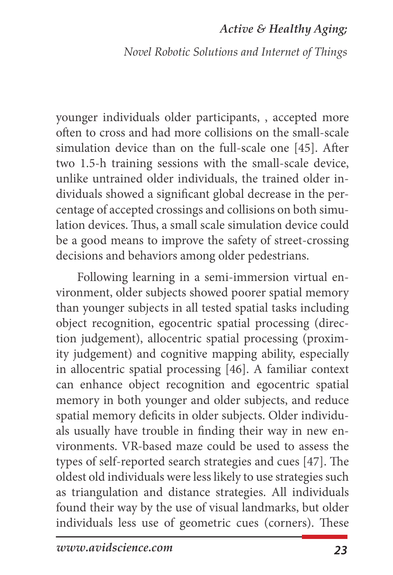younger individuals older participants, , accepted more often to cross and had more collisions on the small-scale simulation device than on the full-scale one [45]. After two 1.5-h training sessions with the small-scale device, unlike untrained older individuals, the trained older individuals showed a significant global decrease in the percentage of accepted crossings and collisions on both simulation devices. Thus, a small scale simulation device could be a good means to improve the safety of street-crossing decisions and behaviors among older pedestrians.

Following learning in a semi-immersion virtual environment, older subjects showed poorer spatial memory than younger subjects in all tested spatial tasks including object recognition, egocentric spatial processing (direction judgement), allocentric spatial processing (proximity judgement) and cognitive mapping ability, especially in allocentric spatial processing [46]. A familiar context can enhance object recognition and egocentric spatial memory in both younger and older subjects, and reduce spatial memory deficits in older subjects. Older individuals usually have trouble in finding their way in new environments. VR-based maze could be used to assess the types of self-reported search strategies and cues [47]. The oldest old individuals were less likely to use strategies such as triangulation and distance strategies. All individuals found their way by the use of visual landmarks, but older individuals less use of geometric cues (corners). These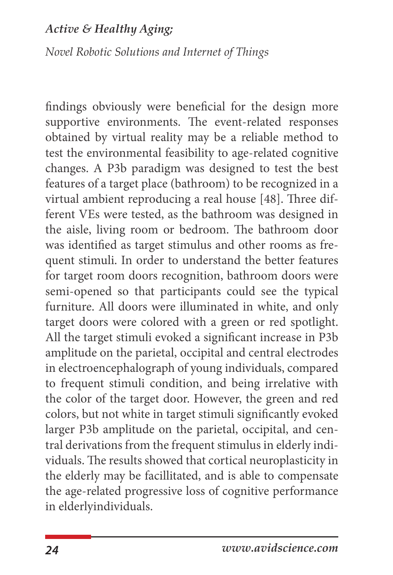*Novel Robotic Solutions and Internet of Things*

findings obviously were beneficial for the design more supportive environments. The event-related responses obtained by virtual reality may be a reliable method to test the environmental feasibility to age-related cognitive changes. A P3b paradigm was designed to test the best features of a target place (bathroom) to be recognized in a virtual ambient reproducing a real house [48]. Three different VEs were tested, as the bathroom was designed in the aisle, living room or bedroom. The bathroom door was identified as target stimulus and other rooms as frequent stimuli. In order to understand the better features for target room doors recognition, bathroom doors were semi-opened so that participants could see the typical furniture. All doors were illuminated in white, and only target doors were colored with a green or red spotlight. All the target stimuli evoked a significant increase in P3b amplitude on the parietal, occipital and central electrodes in electroencephalograph of young individuals, compared to frequent stimuli condition, and being irrelative with the color of the target door. However, the green and red colors, but not white in target stimuli significantly evoked larger P3b amplitude on the parietal, occipital, and central derivations from the frequent stimulus in elderly individuals. The results showed that cortical neuroplasticity in the elderly may be facillitated, and is able to compensate the age-related progressive loss of cognitive performance in elderlyindividuals.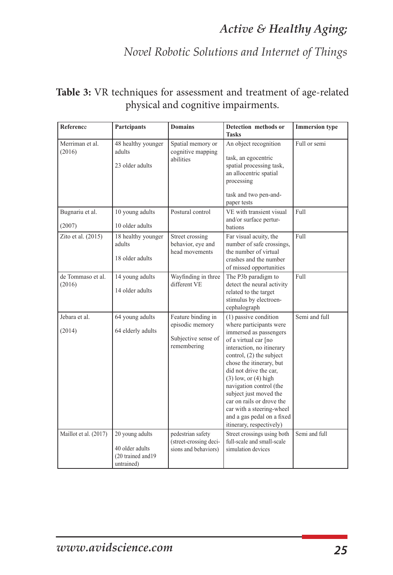| Table 3: VR techniques for assessment and treatment of age-related |  |
|--------------------------------------------------------------------|--|
| physical and cognitive impairments.                                |  |

| Reference                   | Partcipants                                                             | <b>Domains</b>                                                              | Detection methods or<br><b>Tasks</b>                                                                                                                                                                                                                                                                                                                                                                                   | <b>Immersion</b> type |
|-----------------------------|-------------------------------------------------------------------------|-----------------------------------------------------------------------------|------------------------------------------------------------------------------------------------------------------------------------------------------------------------------------------------------------------------------------------------------------------------------------------------------------------------------------------------------------------------------------------------------------------------|-----------------------|
| Merriman et al.<br>(2016)   | 48 healthy younger<br>adults<br>23 older adults                         | Spatial memory or<br>cognitive mapping<br>abilities                         | An object recognition<br>task, an egocentric<br>spatial processing task,<br>an allocentric spatial<br>processing<br>task and two pen-and-<br>paper tests                                                                                                                                                                                                                                                               | Full or semi          |
| Bugnariu et al.<br>(2007)   | 10 young adults<br>10 older adults                                      | Postural control                                                            | VE with transient visual<br>and/or surface pertur-<br>bations                                                                                                                                                                                                                                                                                                                                                          | Full                  |
| Zito et al. (2015)          | 18 healthy younger<br>adults<br>18 older adults                         | Street crossing<br>behavior, eve and<br>head movements                      | Far visual acuity, the<br>number of safe crossings.<br>the number of virtual<br>crashes and the number<br>of missed opportunities                                                                                                                                                                                                                                                                                      | Full                  |
| de Tommaso et al.<br>(2016) | 14 young adults<br>14 older adults                                      | Wayfinding in three<br>different VE                                         | The P3b paradigm to<br>detect the neural activity<br>related to the target<br>stimulus by electroen-<br>cephalograph                                                                                                                                                                                                                                                                                                   | Full                  |
| Jebara et al<br>(2014)      | 64 young adults<br>64 elderly adults                                    | Feature binding in<br>episodic memory<br>Subjective sense of<br>remembering | (1) passive condition<br>where participants were<br>immersed as passengers<br>of a virtual car [no<br>interaction, no itinerary<br>control, (2) the subject<br>chose the itinerary, but<br>did not drive the car,<br>$(3)$ low, or $(4)$ high<br>navigation control (the<br>subject just moved the<br>car on rails or drove the<br>car with a steering-wheel<br>and a gas pedal on a fixed<br>itinerary, respectively) | Semi and full         |
| Maillot et al. (2017)       | 20 young adults<br>40 older adults<br>(20 trained and 19)<br>untrained) | pedestrian safety<br>(street-crossing deci-<br>sions and behaviors)         | Street crossings using both<br>full-scale and small-scale<br>simulation devices                                                                                                                                                                                                                                                                                                                                        | Semi and full         |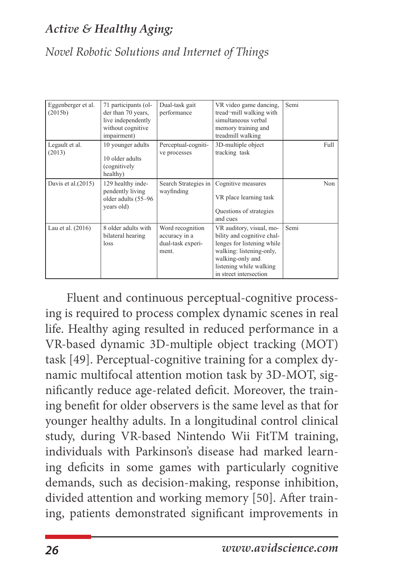## *Novel Robotic Solutions and Internet of Things*

| Eggenberger et al.<br>(2015b) | 71 participants (ol-<br>der than 70 years,<br>live independently<br>without cognitive<br>impairment) | Dual-task gait<br>performance                                  | VR video game dancing,<br>tread-mill walking with<br>simultaneous verbal<br>memory training and<br>treadmill walking                                                                      | Semi |
|-------------------------------|------------------------------------------------------------------------------------------------------|----------------------------------------------------------------|-------------------------------------------------------------------------------------------------------------------------------------------------------------------------------------------|------|
| Legault et al.<br>(2013)      | 10 younger adults<br>10 older adults<br>(cognitively<br>healthy)                                     | Perceptual-cogniti-<br>ve processes                            | 3D-multiple object<br>tracking task                                                                                                                                                       | Full |
| Davis et al. $(2015)$         | 129 healthy inde-<br>pendently living<br>older adults (55-96<br>years old)                           | Search Strategies in<br>wayfinding                             | Cognitive measures<br>VR place learning task<br>Questions of strategies<br>and cues                                                                                                       | Non  |
| Lau et al. (2016)             | 8 older adults with<br>bilateral hearing<br>loss                                                     | Word recognition<br>accuracy in a<br>dual-task experi-<br>ment | VR auditory, visual, mo-<br>bility and cognitive chal-<br>lenges for listening while<br>walking: listening-only,<br>walking-only and<br>listening while walking<br>in street intersection | Semi |

Fluent and continuous perceptual-cognitive processing is required to process complex dynamic scenes in real life. Healthy aging resulted in reduced performance in a VR-based dynamic 3D-multiple object tracking (MOT) task [49]. Perceptual-cognitive training for a complex dynamic multifocal attention motion task by 3D-MOT, significantly reduce age-related deficit. Moreover, the training benefit for older observers is the same level as that for younger healthy adults. In a longitudinal control clinical study, during VR-based Nintendo Wii FitTM training, individuals with Parkinson's disease had marked learning deficits in some games with particularly cognitive demands, such as decision-making, response inhibition, divided attention and working memory [50]. After training, patients demonstrated significant improvements in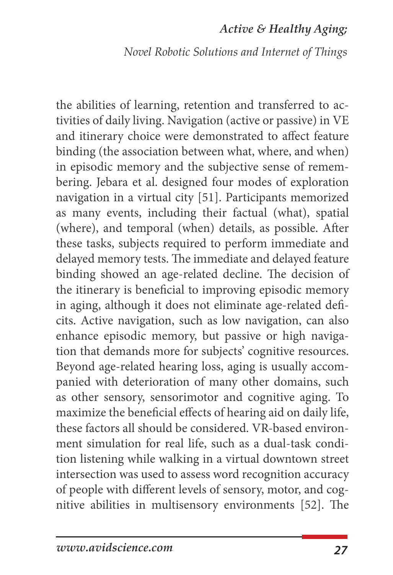the abilities of learning, retention and transferred to activities of daily living. Navigation (active or passive) in VE and itinerary choice were demonstrated to affect feature binding (the association between what, where, and when) in episodic memory and the subjective sense of remembering. Jebara et al. designed four modes of exploration navigation in a virtual city [51]. Participants memorized as many events, including their factual (what), spatial (where), and temporal (when) details, as possible. After these tasks, subjects required to perform immediate and delayed memory tests. The immediate and delayed feature binding showed an age-related decline. The decision of the itinerary is beneficial to improving episodic memory in aging, although it does not eliminate age-related deficits. Active navigation, such as low navigation, can also enhance episodic memory, but passive or high navigation that demands more for subjects' cognitive resources. Beyond age-related hearing loss, aging is usually accompanied with deterioration of many other domains, such as other sensory, sensorimotor and cognitive aging. To maximize the beneficial effects of hearing aid on daily life, these factors all should be considered. VR-based environment simulation for real life, such as a dual-task condition listening while walking in a virtual downtown street intersection was used to assess word recognition accuracy of people with different levels of sensory, motor, and cognitive abilities in multisensory environments [52]. The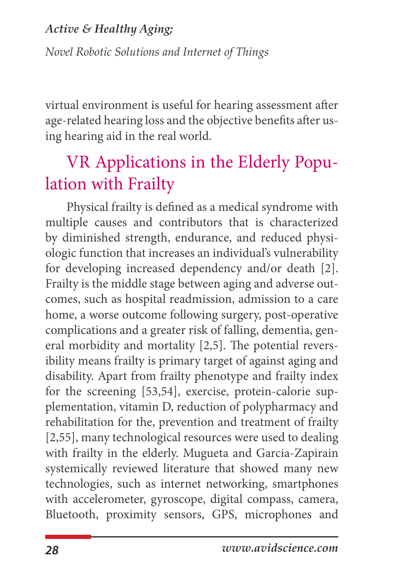*Novel Robotic Solutions and Internet of Things*

virtual environment is useful for hearing assessment after age-related hearing loss and the objective benefits after using hearing aid in the real world.

# VR Applications in the Elderly Population with Frailty

Physical frailty is defined as a medical syndrome with multiple causes and contributors that is characterized by diminished strength, endurance, and reduced physiologic function that increases an individual's vulnerability for developing increased dependency and/or death [2]. Frailty is the middle stage between aging and adverse outcomes, such as hospital readmission, admission to a care home, a worse outcome following surgery, post-operative complications and a greater risk of falling, dementia, general morbidity and mortality [2,5]. The potential reversibility means frailty is primary target of against aging and disability. Apart from frailty phenotype and frailty index for the screening [53,54], exercise, protein-calorie supplementation, vitamin D, reduction of polypharmacy and rehabilitation for the, prevention and treatment of frailty [2,55], many technological resources were used to dealing with frailty in the elderly. Mugueta and Garcia-Zapirain systemically reviewed literature that showed many new technologies, such as internet networking, smartphones with accelerometer, gyroscope, digital compass, camera, Bluetooth, proximity sensors, GPS, microphones and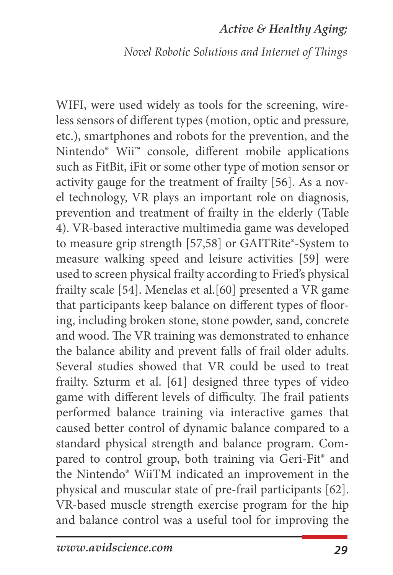WIFI, were used widely as tools for the screening, wireless sensors of different types (motion, optic and pressure, etc.), smartphones and robots for the prevention, and the Nintendo® Wii™ console, different mobile applications such as FitBit, iFit or some other type of motion sensor or activity gauge for the treatment of frailty [56]. As a novel technology, VR plays an important role on diagnosis, prevention and treatment of frailty in the elderly (Table 4). VR-based interactive multimedia game was developed to measure grip strength [57,58] or GAITRite®-System to measure walking speed and leisure activities [59] were used to screen physical frailty according to Fried's physical frailty scale [54]. Menelas et al.[60] presented a VR game that participants keep balance on different types of flooring, including broken stone, stone powder, sand, concrete and wood. The VR training was demonstrated to enhance the balance ability and prevent falls of frail older adults. Several studies showed that VR could be used to treat frailty. Szturm et al. [61] designed three types of video game with different levels of difficulty. The frail patients performed balance training via interactive games that caused better control of dynamic balance compared to a standard physical strength and balance program. Compared to control group, both training via Geri-Fit<sup>®</sup> and the Nintendo® WiiTM indicated an improvement in the physical and muscular state of pre-frail participants [62]. VR-based muscle strength exercise program for the hip and balance control was a useful tool for improving the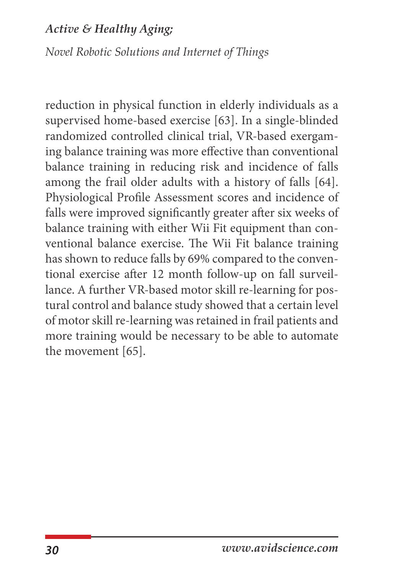*Novel Robotic Solutions and Internet of Things*

reduction in physical function in elderly individuals as a supervised home-based exercise [63]. In a single-blinded randomized controlled clinical trial, VR-based exergaming balance training was more effective than conventional balance training in reducing risk and incidence of falls among the frail older adults with a history of falls [64]. Physiological Profile Assessment scores and incidence of falls were improved significantly greater after six weeks of balance training with either Wii Fit equipment than conventional balance exercise. The Wii Fit balance training has shown to reduce falls by 69% compared to the conventional exercise after 12 month follow-up on fall surveillance. A further VR-based motor skill re-learning for postural control and balance study showed that a certain level of motor skill re-learning was retained in frail patients and more training would be necessary to be able to automate the movement [65].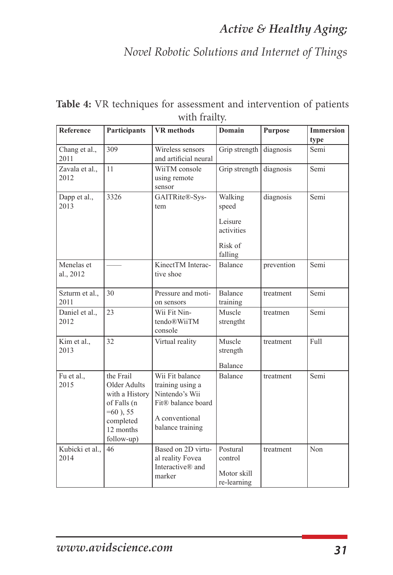| Reference               | <b>Participants</b>                                                                                 | <b>VR</b> methods                                                                                                 | Domain                     | Purpose    | <b>Immersion</b><br>type |
|-------------------------|-----------------------------------------------------------------------------------------------------|-------------------------------------------------------------------------------------------------------------------|----------------------------|------------|--------------------------|
| Chang et al.,<br>2011   | 309                                                                                                 | Wireless sensors<br>and artificial neural                                                                         | Grip strength              | diagnosis  | Semi                     |
| Zavala et al.,<br>2012  | 11                                                                                                  | WiiTM console<br>using remote<br>sensor                                                                           | Grip strength              | diagnosis  | Semi                     |
| Dapp et al.,<br>2013    | 3326                                                                                                | GAITRite®-Sys-<br>tem                                                                                             | Walking<br>speed           | diagnosis  | Semi                     |
|                         |                                                                                                     |                                                                                                                   | Leisure<br>activities      |            |                          |
|                         |                                                                                                     |                                                                                                                   | Risk of<br>falling         |            |                          |
| Menelas et<br>al., 2012 |                                                                                                     | KinectTM Interac-<br>tive shoe                                                                                    | Balance                    | prevention | Semi                     |
| Szturm et al.,<br>2011  | 30                                                                                                  | Pressure and moti-<br>on sensors                                                                                  | Balance<br>training        | treatment  | Semi                     |
| Daniel et al.,<br>2012  | 23                                                                                                  | Wii Fit Nin-<br>tendo®WiiTM<br>console                                                                            | Muscle<br>strengtht        | treatmen   | Semi                     |
| Kim et al.,<br>2013     | 32                                                                                                  | Virtual reality                                                                                                   | Muscle<br>strength         | treatment  | Full                     |
|                         |                                                                                                     |                                                                                                                   | Balance                    |            |                          |
| Fu et al.,<br>2015      | the Frail<br>Older Adults<br>with a History<br>of Falls (n<br>$=60$ ), 55<br>completed<br>12 months | Wii Fit balance<br>training using a<br>Nintendo's Wii<br>Fit® balance board<br>A conventional<br>balance training | Balance                    | treatment  | Semi                     |
|                         | follow-up)                                                                                          |                                                                                                                   |                            |            |                          |
| Kubicki et al.,<br>2014 | 46                                                                                                  | Based on 2D virtu-<br>al reality Fovea<br>Interactive® and                                                        | Postural<br>control        | treatment  | Non                      |
|                         |                                                                                                     | marker                                                                                                            | Motor skill<br>re-learning |            |                          |

**Table 4:** VR techniques for assessment and intervention of patients with frailty.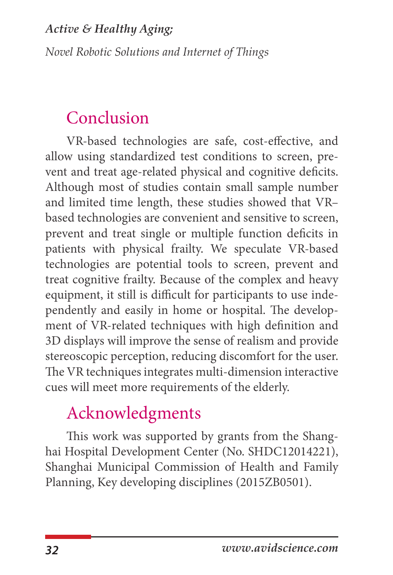*Novel Robotic Solutions and Internet of Things*

# Conclusion

VR-based technologies are safe, cost-effective, and allow using standardized test conditions to screen, prevent and treat age-related physical and cognitive deficits. Although most of studies contain small sample number and limited time length, these studies showed that VR– based technologies are convenient and sensitive to screen, prevent and treat single or multiple function deficits in patients with physical frailty. We speculate VR-based technologies are potential tools to screen, prevent and treat cognitive frailty. Because of the complex and heavy equipment, it still is difficult for participants to use independently and easily in home or hospital. The development of VR-related techniques with high definition and 3D displays will improve the sense of realism and provide stereoscopic perception, reducing discomfort for the user. The VR techniques integrates multi-dimension interactive cues will meet more requirements of the elderly.

# Acknowledgments

This work was supported by grants from the Shanghai Hospital Development Center (No. SHDC12014221), Shanghai Municipal Commission of Health and Family Planning, Key developing disciplines (2015ZB0501).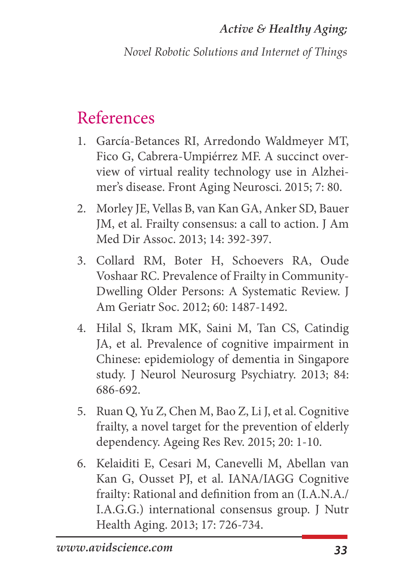# References

- 1. García-Betances RI, Arredondo Waldmeyer MT, Fico G, Cabrera-Umpiérrez MF. A succinct overview of virtual reality technology use in Alzheimer's disease. Front Aging Neurosci. 2015; 7: 80.
- 2. Morley JE, Vellas B, van Kan GA, Anker SD, Bauer JM, et al. Frailty consensus: a call to action. J Am Med Dir Assoc. 2013; 14: 392-397.
- 3. Collard RM, Boter H, Schoevers RA, Oude Voshaar RC. Prevalence of Frailty in Community‐ Dwelling Older Persons: A Systematic Review. J Am Geriatr Soc. 2012; 60: 1487-1492.
- 4. Hilal S, Ikram MK, Saini M, Tan CS, Catindig JA, et al. Prevalence of cognitive impairment in Chinese: epidemiology of dementia in Singapore study. J Neurol Neurosurg Psychiatry. 2013; 84: 686-692.
- 5. Ruan Q, Yu Z, Chen M, Bao Z, Li J, et al. Cognitive frailty, a novel target for the prevention of elderly dependency. Ageing Res Rev. 2015; 20: 1-10.
- 6. Kelaiditi E, Cesari M, Canevelli M, Abellan van Kan G, Ousset PJ, et al. IANA/IAGG Cognitive frailty: Rational and definition from an (I.A.N.A./ I.A.G.G.) international consensus group. J Nutr Health Aging. 2013; 17: 726-734.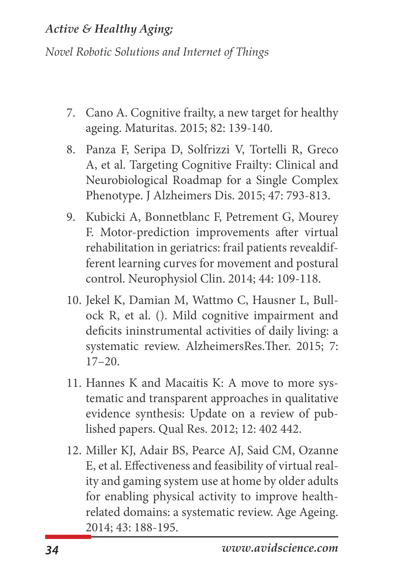- 7. Cano A. Cognitive frailty, a new target for healthy ageing. Maturitas. 2015; 82: 139-140.
- 8. Panza F, Seripa D, Solfrizzi V, Tortelli R, Greco A, et al. Targeting Cognitive Frailty: Clinical and Neurobiological Roadmap for a Single Complex Phenotype. J Alzheimers Dis. 2015; 47: 793-813.
- 9. Kubicki A, Bonnetblanc F, Petrement G, Mourey F. Motor-prediction improvements after virtual rehabilitation in geriatrics: frail patients revealdifferent learning curves for movement and postural control. Neurophysiol Clin. 2014; 44: 109-118.
- 10. Jekel K, Damian M, Wattmo C, Hausner L, Bullock R, et al. (). Mild cognitive impairment and deficits ininstrumental activities of daily living: a systematic review. AlzheimersRes.Ther. 2015; 7: 17–20.
- 11. Hannes K and Macaitis K: A move to more systematic and transparent approaches in qualitative evidence synthesis: Update on a review of published papers. Qual Res. 2012; 12: 402 442.
- 12. Miller KJ, Adair BS, Pearce AJ, Said CM, Ozanne E, et al. Effectiveness and feasibility of virtual reality and gaming system use at home by older adults for enabling physical activity to improve healthrelated domains: a systematic review. Age Ageing. 2014; 43: 188-195.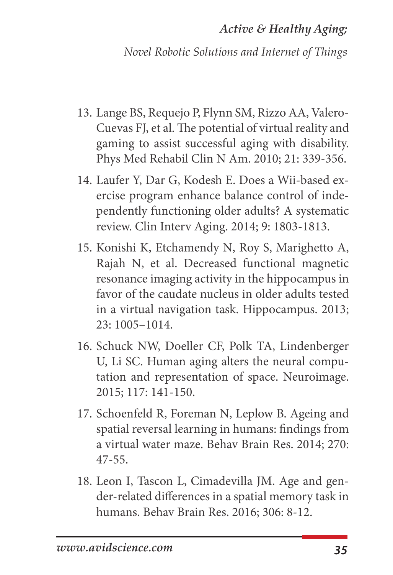- 13. Lange BS, Requejo P, Flynn SM, Rizzo AA, Valero-Cuevas FJ, et al. The potential of virtual reality and gaming to assist successful aging with disability. Phys Med Rehabil Clin N Am. 2010; 21: 339-356.
- 14. Laufer Y, Dar G, Kodesh E. Does a Wii-based exercise program enhance balance control of independently functioning older adults? A systematic review. Clin Interv Aging. 2014; 9: 1803-1813.
- 15. Konishi K, Etchamendy N, Roy S, Marighetto A, Rajah N, et al. Decreased functional magnetic resonance imaging activity in the hippocampus in favor of the caudate nucleus in older adults tested in a virtual navigation task. Hippocampus. 2013; 23: 1005–1014.
- 16. Schuck NW, Doeller CF, Polk TA, Lindenberger U, Li SC. Human aging alters the neural computation and representation of space. Neuroimage. 2015; 117: 141-150.
- 17. Schoenfeld R, Foreman N, Leplow B. Ageing and spatial reversal learning in humans: findings from a virtual water maze. Behav Brain Res. 2014; 270: 47-55.
- 18. Leon I, Tascon L, Cimadevilla JM. Age and gender-related differences in a spatial memory task in humans. Behav Brain Res. 2016; 306: 8-12.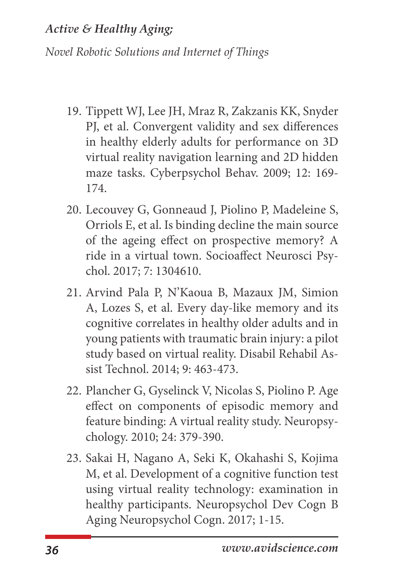- 19. Tippett WJ, Lee JH, Mraz R, Zakzanis KK, Snyder PJ, et al. Convergent validity and sex differences in healthy elderly adults for performance on 3D virtual reality navigation learning and 2D hidden maze tasks. Cyberpsychol Behav. 2009; 12: 169- 174.
- 20. Lecouvey G, Gonneaud J, Piolino P, Madeleine S, Orriols E, et al. Is binding decline the main source of the ageing effect on prospective memory? A ride in a virtual town. Socioaffect Neurosci Psychol. 2017; 7: 1304610.
- 21. Arvind Pala P, N'Kaoua B, Mazaux JM, Simion A, Lozes S, et al. Every day-like memory and its cognitive correlates in healthy older adults and in young patients with traumatic brain injury: a pilot study based on virtual reality. Disabil Rehabil Assist Technol. 2014; 9: 463-473.
- 22. Plancher G, Gyselinck V, Nicolas S, Piolino P. Age effect on components of episodic memory and feature binding: A virtual reality study. Neuropsychology. 2010; 24: 379-390.
- 23. Sakai H, Nagano A, Seki K, Okahashi S, Kojima M, et al. Development of a cognitive function test using virtual reality technology: examination in healthy participants. Neuropsychol Dev Cogn B Aging Neuropsychol Cogn. 2017; 1-15.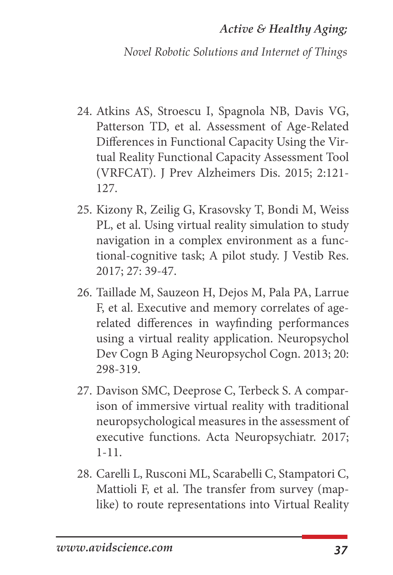- 24. Atkins AS, Stroescu I, Spagnola NB, Davis VG, Patterson TD, et al. Assessment of Age-Related Differences in Functional Capacity Using the Virtual Reality Functional Capacity Assessment Tool (VRFCAT). J Prev Alzheimers Dis. 2015; 2:121- 127.
- 25. Kizony R, Zeilig G, Krasovsky T, Bondi M, Weiss PL, et al. Using virtual reality simulation to study navigation in a complex environment as a functional-cognitive task; A pilot study. J Vestib Res. 2017; 27: 39-47.
- 26. Taillade M, Sauzeon H, Dejos M, Pala PA, Larrue F, et al. Executive and memory correlates of agerelated differences in wayfinding performances using a virtual reality application. Neuropsychol Dev Cogn B Aging Neuropsychol Cogn. 2013; 20: 298-319.
- 27. Davison SMC, Deeprose C, Terbeck S. A comparison of immersive virtual reality with traditional neuropsychological measures in the assessment of executive functions. Acta Neuropsychiatr. 2017; 1-11.
- 28. Carelli L, Rusconi ML, Scarabelli C, Stampatori C, Mattioli F, et al. The transfer from survey (maplike) to route representations into Virtual Reality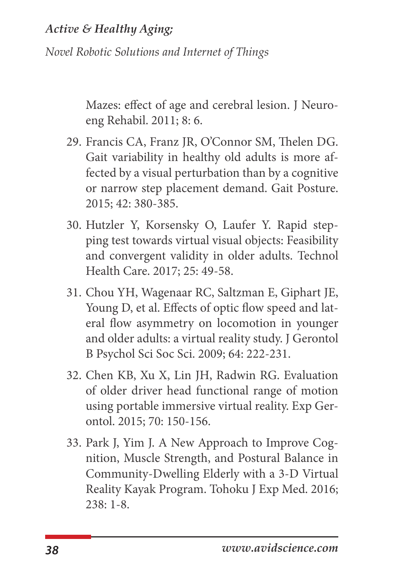*Novel Robotic Solutions and Internet of Things*

Mazes: effect of age and cerebral lesion. J Neuroeng Rehabil. 2011; 8: 6.

- 29. Francis CA, Franz JR, O'Connor SM, Thelen DG. Gait variability in healthy old adults is more affected by a visual perturbation than by a cognitive or narrow step placement demand. Gait Posture. 2015; 42: 380-385.
- 30. Hutzler Y, Korsensky O, Laufer Y. Rapid stepping test towards virtual visual objects: Feasibility and convergent validity in older adults. Technol Health Care. 2017; 25: 49-58.
- 31. Chou YH, Wagenaar RC, Saltzman E, Giphart JE, Young D, et al. Effects of optic flow speed and lateral flow asymmetry on locomotion in younger and older adults: a virtual reality study. J Gerontol B Psychol Sci Soc Sci. 2009; 64: 222-231.
- 32. Chen KB, Xu X, Lin JH, Radwin RG. Evaluation of older driver head functional range of motion using portable immersive virtual reality. Exp Gerontol. 2015; 70: 150-156.
- 33. Park J, Yim J. A New Approach to Improve Cognition, Muscle Strength, and Postural Balance in Community-Dwelling Elderly with a 3-D Virtual Reality Kayak Program. Tohoku J Exp Med. 2016; 238: 1-8.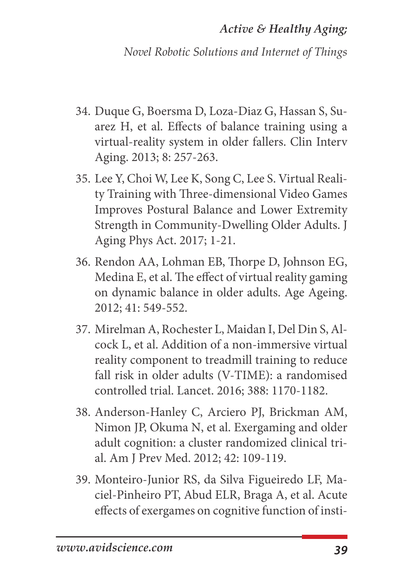- 34. Duque G, Boersma D, Loza-Diaz G, Hassan S, Suarez H, et al. Effects of balance training using a virtual-reality system in older fallers. Clin Interv Aging. 2013; 8: 257-263.
- 35. Lee Y, Choi W, Lee K, Song C, Lee S. Virtual Reality Training with Three-dimensional Video Games Improves Postural Balance and Lower Extremity Strength in Community-Dwelling Older Adults. J Aging Phys Act. 2017; 1-21.
- 36. Rendon AA, Lohman EB, Thorpe D, Johnson EG, Medina E, et al. The effect of virtual reality gaming on dynamic balance in older adults. Age Ageing. 2012; 41: 549-552.
- 37. Mirelman A, Rochester L, Maidan I, Del Din S, Alcock L, et al. Addition of a non-immersive virtual reality component to treadmill training to reduce fall risk in older adults (V-TIME): a randomised controlled trial. Lancet. 2016; 388: 1170-1182.
- 38. Anderson-Hanley C, Arciero PJ, Brickman AM, Nimon JP, Okuma N, et al. Exergaming and older adult cognition: a cluster randomized clinical trial. Am J Prev Med. 2012; 42: 109-119.
- 39. Monteiro-Junior RS, da Silva Figueiredo LF, Maciel-Pinheiro PT, Abud ELR, Braga A, et al. Acute effects of exergames on cognitive function of insti-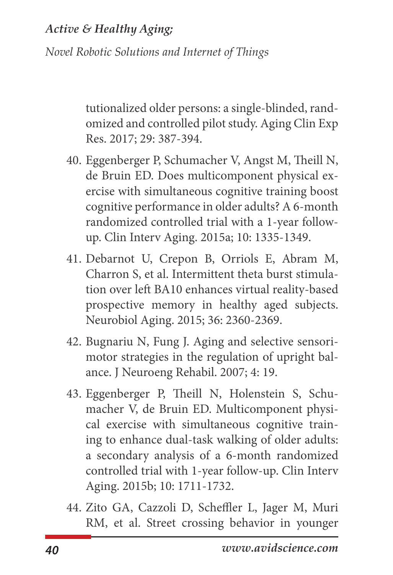*Novel Robotic Solutions and Internet of Things*

tutionalized older persons: a single-blinded, randomized and controlled pilot study. Aging Clin Exp Res. 2017; 29: 387-394.

- 40. Eggenberger P, Schumacher V, Angst M, Theill N, de Bruin ED. Does multicomponent physical exercise with simultaneous cognitive training boost cognitive performance in older adults? A 6-month randomized controlled trial with a 1-year followup. Clin Interv Aging. 2015a; 10: 1335-1349.
- 41. Debarnot U, Crepon B, Orriols E, Abram M, Charron S, et al. Intermittent theta burst stimulation over left BA10 enhances virtual reality-based prospective memory in healthy aged subjects. Neurobiol Aging. 2015; 36: 2360-2369.
- 42. Bugnariu N, Fung J. Aging and selective sensorimotor strategies in the regulation of upright balance. J Neuroeng Rehabil. 2007; 4: 19.
- 43. Eggenberger P, Theill N, Holenstein S, Schumacher V, de Bruin ED. Multicomponent physical exercise with simultaneous cognitive training to enhance dual-task walking of older adults: a secondary analysis of a 6-month randomized controlled trial with 1-year follow-up. Clin Interv Aging. 2015b; 10: 1711-1732.
- 44. Zito GA, Cazzoli D, Scheffler L, Jager M, Muri RM, et al. Street crossing behavior in younger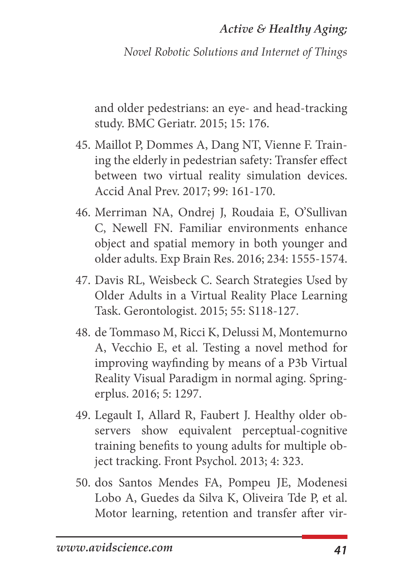and older pedestrians: an eye- and head-tracking study. BMC Geriatr. 2015; 15: 176.

- 45. Maillot P, Dommes A, Dang NT, Vienne F. Training the elderly in pedestrian safety: Transfer effect between two virtual reality simulation devices. Accid Anal Prev. 2017; 99: 161-170.
- 46. Merriman NA, Ondrej J, Roudaia E, O'Sullivan C, Newell FN. Familiar environments enhance object and spatial memory in both younger and older adults. Exp Brain Res. 2016; 234: 1555-1574.
- 47. Davis RL, Weisbeck C. Search Strategies Used by Older Adults in a Virtual Reality Place Learning Task. Gerontologist. 2015; 55: S118-127.
- 48. de Tommaso M, Ricci K, Delussi M, Montemurno A, Vecchio E, et al. Testing a novel method for improving wayfinding by means of a P3b Virtual Reality Visual Paradigm in normal aging. Springerplus. 2016; 5: 1297.
- 49. Legault I, Allard R, Faubert J. Healthy older observers show equivalent perceptual-cognitive training benefits to young adults for multiple object tracking. Front Psychol. 2013; 4: 323.
- 50. dos Santos Mendes FA, Pompeu JE, Modenesi Lobo A, Guedes da Silva K, Oliveira Tde P, et al. Motor learning, retention and transfer after vir-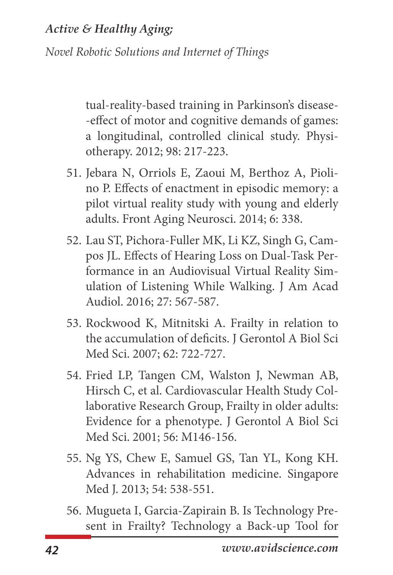*Novel Robotic Solutions and Internet of Things*

tual-reality-based training in Parkinson's disease- -effect of motor and cognitive demands of games: a longitudinal, controlled clinical study. Physiotherapy. 2012; 98: 217-223.

- 51. Jebara N, Orriols E, Zaoui M, Berthoz A, Piolino P. Effects of enactment in episodic memory: a pilot virtual reality study with young and elderly adults. Front Aging Neurosci. 2014; 6: 338.
- 52. Lau ST, Pichora-Fuller MK, Li KZ, Singh G, Campos JL. Effects of Hearing Loss on Dual-Task Performance in an Audiovisual Virtual Reality Simulation of Listening While Walking. J Am Acad Audiol. 2016; 27: 567-587.
- 53. Rockwood K, Mitnitski A. Frailty in relation to the accumulation of deficits. J Gerontol A Biol Sci Med Sci. 2007; 62: 722-727.
- 54. Fried LP, Tangen CM, Walston J, Newman AB, Hirsch C, et al. Cardiovascular Health Study Collaborative Research Group, Frailty in older adults: Evidence for a phenotype. J Gerontol A Biol Sci Med Sci. 2001; 56: M146-156.
- 55. Ng YS, Chew E, Samuel GS, Tan YL, Kong KH. Advances in rehabilitation medicine. Singapore Med J. 2013; 54: 538-551.
- 56. Mugueta I, Garcia-Zapirain B. Is Technology Present in Frailty? Technology a Back-up Tool for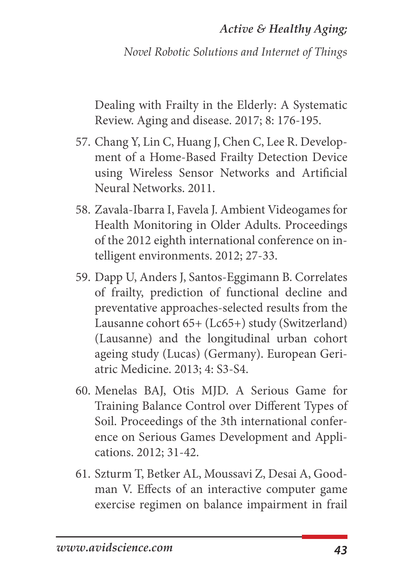Dealing with Frailty in the Elderly: A Systematic Review. Aging and disease. 2017; 8: 176-195.

- 57. Chang Y, Lin C, Huang J, Chen C, Lee R. Development of a Home-Based Frailty Detection Device using Wireless Sensor Networks and Artificial Neural Networks. 2011.
- 58. Zavala-Ibarra I, Favela J. Ambient Videogames for Health Monitoring in Older Adults. Proceedings of the 2012 eighth international conference on intelligent environments. 2012; 27-33.
- 59. Dapp U, Anders J, Santos-Eggimann B. Correlates of frailty, prediction of functional decline and preventative approaches-selected results from the Lausanne cohort 65+ (Lc65+) study (Switzerland) (Lausanne) and the longitudinal urban cohort ageing study (Lucas) (Germany). European Geriatric Medicine. 2013; 4: S3-S4.
- 60. Menelas BAJ, Otis MJD. A Serious Game for Training Balance Control over Different Types of Soil. Proceedings of the 3th international conference on Serious Games Development and Applications. 2012; 31-42.
- 61. Szturm T, Betker AL, Moussavi Z, Desai A, Goodman V. Effects of an interactive computer game exercise regimen on balance impairment in frail